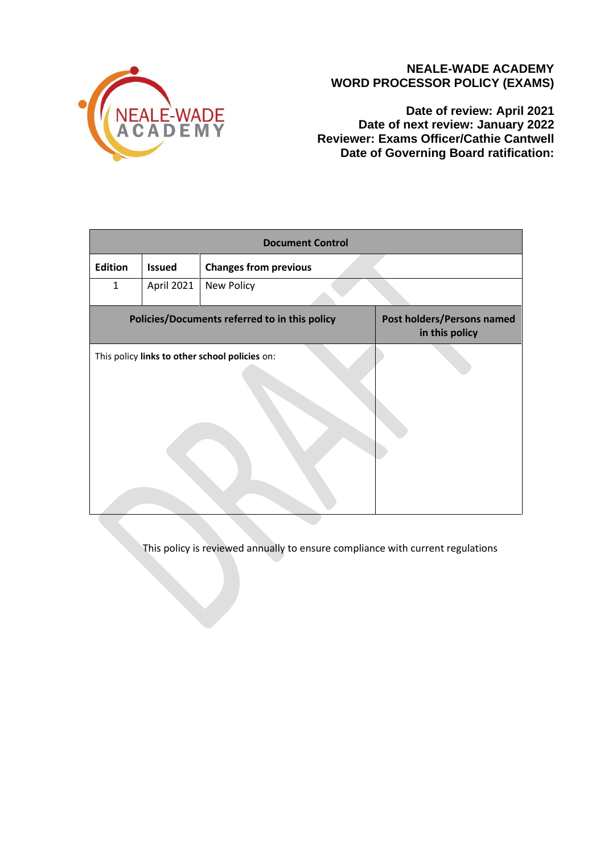

## **NEALE-WADE ACADEMY WORD PROCESSOR POLICY (EXAMS)**

**Date of review: April 2021 Date of next review: January 2022 Reviewer: Exams Officer/Cathie Cantwell Date of Governing Board ratification:** 

| <b>Document Control</b>                        |               |                              |                                              |
|------------------------------------------------|---------------|------------------------------|----------------------------------------------|
| <b>Edition</b>                                 | <b>Issued</b> | <b>Changes from previous</b> |                                              |
| $\mathbf{1}$                                   | April 2021    | New Policy                   |                                              |
| Policies/Documents referred to in this policy  |               |                              | Post holders/Persons named<br>in this policy |
| This policy links to other school policies on: |               |                              |                                              |

This policy is reviewed annually to ensure compliance with current regulations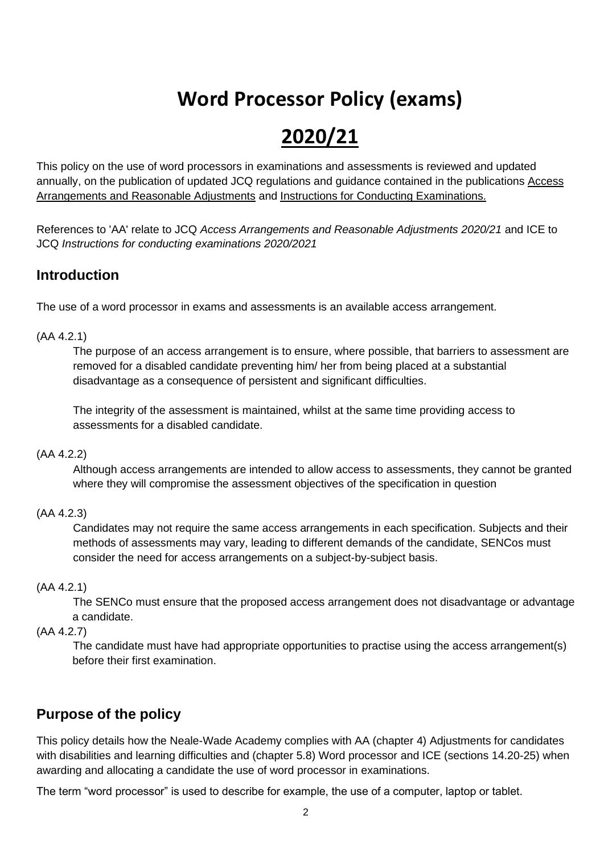# **Word Processor Policy (exams)**

# **2020/21**

This policy on the use of word processors in examinations and assessments is reviewed and updated annually, on the publication of updated JCQ regulations and guidance contained in the publications [Access](http://www.jcq.org.uk/exams-office/access-arrangements-and-special-consideration/regulations-and-guidance)  [Arrangements and Reasonable Adjustments](http://www.jcq.org.uk/exams-office/access-arrangements-and-special-consideration/regulations-and-guidance) and [Instructions for Conducting Examinations.](http://www.jcq.org.uk/exams-office/ice---instructions-for-conducting-examinations) 

References to 'AA' relate to JCQ *Access Arrangements and Reasonable Adjustments 2020/21* and ICE to JCQ *Instructions for conducting examinations 2020/2021*

# **Introduction**

The use of a word processor in exams and assessments is an available access arrangement.

### (AA 4.2.1)

The purpose of an access arrangement is to ensure, where possible, that barriers to assessment are removed for a disabled candidate preventing him/ her from being placed at a substantial disadvantage as a consequence of persistent and significant difficulties.

The integrity of the assessment is maintained, whilst at the same time providing access to assessments for a disabled candidate.

### (AA 4.2.2)

Although access arrangements are intended to allow access to assessments, they cannot be granted where they will compromise the assessment objectives of the specification in question

### (AA 4.2.3)

Candidates may not require the same access arrangements in each specification. Subjects and their methods of assessments may vary, leading to different demands of the candidate, SENCos must consider the need for access arrangements on a subject-by-subject basis.

### (AA 4.2.1)

The SENCo must ensure that the proposed access arrangement does not disadvantage or advantage a candidate.

### (AA 4.2.7)

The candidate must have had appropriate opportunities to practise using the access arrangement(s) before their first examination.

# **Purpose of the policy**

This policy details how the Neale-Wade Academy complies with AA (chapter 4) Adjustments for candidates with disabilities and learning difficulties and (chapter 5.8) Word processor and ICE (sections 14.20-25) when awarding and allocating a candidate the use of word processor in examinations.

The term "word processor" is used to describe for example, the use of a computer, laptop or tablet.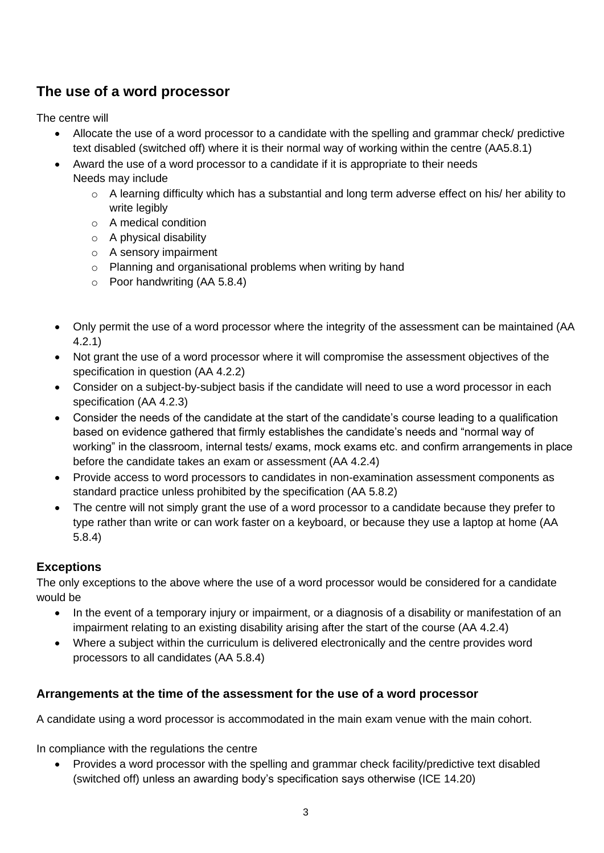# **The use of a word processor**

The centre will

- Allocate the use of a word processor to a candidate with the spelling and grammar check/ predictive text disabled (switched off) where it is their normal way of working within the centre (AA5.8.1)
- Award the use of a word processor to a candidate if it is appropriate to their needs Needs may include
	- o A learning difficulty which has a substantial and long term adverse effect on his/ her ability to write legibly
	- o A medical condition
	- o A physical disability
	- o A sensory impairment
	- o Planning and organisational problems when writing by hand
	- o Poor handwriting (AA 5.8.4)
- Only permit the use of a word processor where the integrity of the assessment can be maintained (AA 4.2.1)
- Not grant the use of a word processor where it will compromise the assessment objectives of the specification in question (AA 4.2.2)
- Consider on a subject-by-subject basis if the candidate will need to use a word processor in each specification (AA 4.2.3)
- Consider the needs of the candidate at the start of the candidate's course leading to a qualification based on evidence gathered that firmly establishes the candidate's needs and "normal way of working" in the classroom, internal tests/ exams, mock exams etc. and confirm arrangements in place before the candidate takes an exam or assessment (AA 4.2.4)
- Provide access to word processors to candidates in non-examination assessment components as standard practice unless prohibited by the specification (AA 5.8.2)
- The centre will not simply grant the use of a word processor to a candidate because they prefer to type rather than write or can work faster on a keyboard, or because they use a laptop at home (AA 5.8.4)

# **Exceptions**

The only exceptions to the above where the use of a word processor would be considered for a candidate would be

- In the event of a temporary injury or impairment, or a diagnosis of a disability or manifestation of an impairment relating to an existing disability arising after the start of the course (AA 4.2.4)
- Where a subject within the curriculum is delivered electronically and the centre provides word processors to all candidates (AA 5.8.4)

## **Arrangements at the time of the assessment for the use of a word processor**

A candidate using a word processor is accommodated in the main exam venue with the main cohort.

In compliance with the regulations the centre

• Provides a word processor with the spelling and grammar check facility/predictive text disabled (switched off) unless an awarding body's specification says otherwise (ICE 14.20)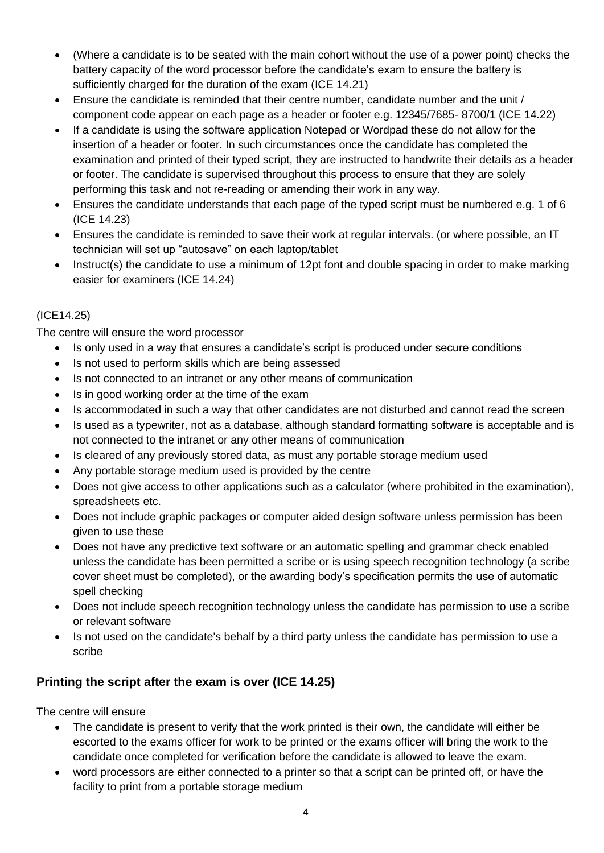- (Where a candidate is to be seated with the main cohort without the use of a power point) checks the battery capacity of the word processor before the candidate's exam to ensure the battery is sufficiently charged for the duration of the exam (ICE 14.21)
- Ensure the candidate is reminded that their centre number, candidate number and the unit / component code appear on each page as a header or footer e.g. 12345/7685- 8700/1 (ICE 14.22)
- If a candidate is using the software application Notepad or Wordpad these do not allow for the insertion of a header or footer. In such circumstances once the candidate has completed the examination and printed of their typed script, they are instructed to handwrite their details as a header or footer. The candidate is supervised throughout this process to ensure that they are solely performing this task and not re-reading or amending their work in any way.
- Ensures the candidate understands that each page of the typed script must be numbered e.g. 1 of 6 (ICE 14.23)
- Ensures the candidate is reminded to save their work at regular intervals. (or where possible, an IT technician will set up "autosave" on each laptop/tablet
- Instruct(s) the candidate to use a minimum of 12pt font and double spacing in order to make marking easier for examiners (ICE 14.24)

### (ICE14.25)

The centre will ensure the word processor

- Is only used in a way that ensures a candidate's script is produced under secure conditions
- Is not used to perform skills which are being assessed
- Is not connected to an intranet or any other means of communication
- Is in good working order at the time of the exam
- Is accommodated in such a way that other candidates are not disturbed and cannot read the screen
- Is used as a typewriter, not as a database, although standard formatting software is acceptable and is not connected to the intranet or any other means of communication
- Is cleared of any previously stored data, as must any portable storage medium used
- Any portable storage medium used is provided by the centre
- Does not give access to other applications such as a calculator (where prohibited in the examination), spreadsheets etc.
- Does not include graphic packages or computer aided design software unless permission has been given to use these
- Does not have any predictive text software or an automatic spelling and grammar check enabled unless the candidate has been permitted a scribe or is using speech recognition technology (a scribe cover sheet must be completed), or the awarding body's specification permits the use of automatic spell checking
- Does not include speech recognition technology unless the candidate has permission to use a scribe or relevant software
- Is not used on the candidate's behalf by a third party unless the candidate has permission to use a scribe

## **Printing the script after the exam is over (ICE 14.25)**

The centre will ensure

- The candidate is present to verify that the work printed is their own, the candidate will either be escorted to the exams officer for work to be printed or the exams officer will bring the work to the candidate once completed for verification before the candidate is allowed to leave the exam.
- word processors are either connected to a printer so that a script can be printed off, or have the facility to print from a portable storage medium